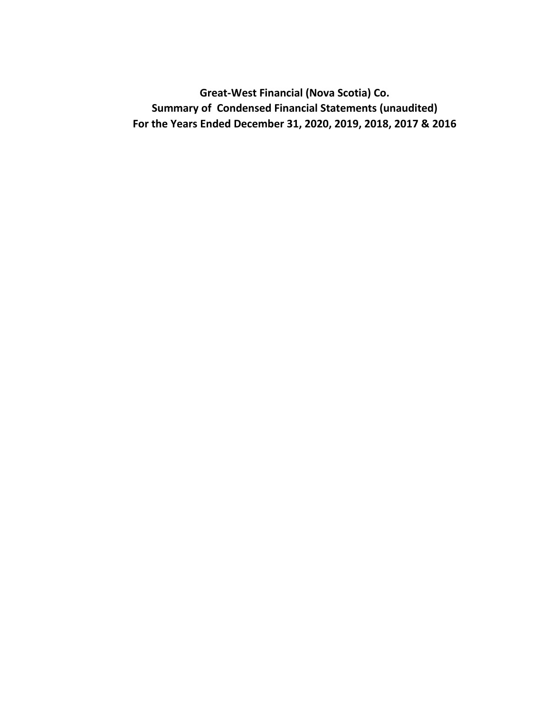**Great-West Financial (Nova Scotia) Co. Summary of Condensed Financial Statements (unaudited) For the Years Ended December 31, 2020, 2019, 2018, 2017 & 2016**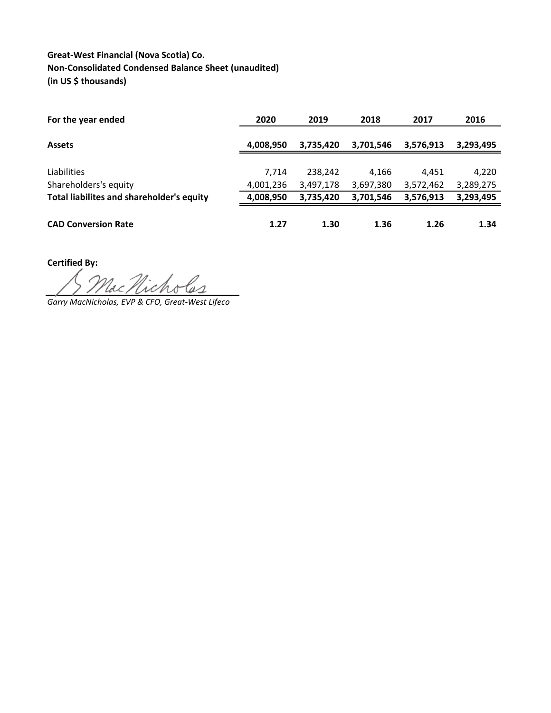## **Great-West Financial (Nova Scotia) Co. Non-Consolidated Condensed Balance Sheet (unaudited) (in US \$ thousands)**

| For the year ended                        | 2020      | 2019      | 2018      | 2017      | 2016      |
|-------------------------------------------|-----------|-----------|-----------|-----------|-----------|
| <b>Assets</b>                             | 4,008,950 | 3,735,420 | 3,701,546 | 3,576,913 | 3,293,495 |
|                                           |           |           |           |           |           |
| Liabilities                               | 7.714     | 238,242   | 4.166     | 4.451     | 4,220     |
| Shareholders's equity                     | 4,001,236 | 3,497,178 | 3,697,380 | 3,572,462 | 3,289,275 |
| Total liabilites and shareholder's equity | 4,008,950 | 3,735,420 | 3,701,546 | 3,576,913 | 3,293,495 |
| <b>CAD Conversion Rate</b>                | 1.27      | 1.30      | 1.36      | 1.26      | 1.34      |

**Certified By:**

de Nicholas

*Garry MacNicholas, EVP & CFO, Great-West Lifeco*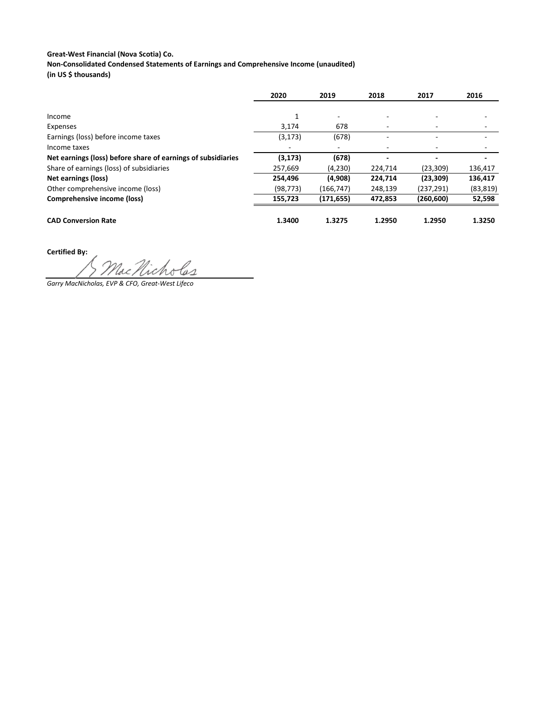## **Great-West Financial (Nova Scotia) Co.**

**Non-Consolidated Condensed Statements of Earnings and Comprehensive Income (unaudited)**

**(in US \$ thousands)**

|                                                              | 2020      | 2019                     | 2018                     | 2017       | 2016      |
|--------------------------------------------------------------|-----------|--------------------------|--------------------------|------------|-----------|
|                                                              |           |                          |                          |            |           |
| Income                                                       | 1         | $\overline{\phantom{a}}$ |                          |            |           |
| Expenses                                                     | 3,174     | 678                      |                          |            |           |
| Earnings (loss) before income taxes                          | (3, 173)  | (678)                    |                          |            |           |
| Income taxes                                                 |           | $\overline{\phantom{a}}$ | $\overline{\phantom{a}}$ |            |           |
| Net earnings (loss) before share of earnings of subsidiaries | (3, 173)  | (678)                    |                          |            |           |
| Share of earnings (loss) of subsidiaries                     | 257,669   | (4,230)                  | 224,714                  | (23, 309)  | 136,417   |
| <b>Net earnings (loss)</b>                                   | 254,496   | (4,908)                  | 224,714                  | (23, 309)  | 136,417   |
| Other comprehensive income (loss)                            | (98, 773) | (166, 747)               | 248,139                  | (237, 291) | (83, 819) |
| Comprehensive income (loss)                                  | 155,723   | (171, 655)               | 472,853                  | (260, 600) | 52,598    |
|                                                              |           |                          |                          |            |           |
| <b>CAD Conversion Rate</b>                                   | 1.3400    | 1.3275                   | 1.2950                   | 1.2950     | 1.3250    |

**Certified By:**

*Garry MacNicholas, EVP & CFO, Great-West Lifeco*